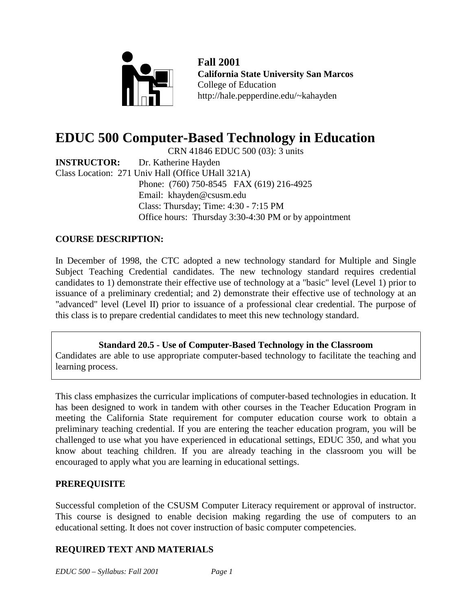

**Fall 2001 California State University San Marcos** College of Education http://hale.pepperdine.edu/~kahayden

# **EDUC 500 Computer-Based Technology in Education**

CRN 41846 EDUC 500 (03): 3 units

**INSTRUCTOR:** Dr. Katherine Hayden Class Location: 271 Univ Hall (Office UHall 321A) Phone: (760) 750-8545 FAX (619) 216-4925 Email: khayden@csusm.edu Class: Thursday; Time: 4:30 - 7:15 PM Office hours: Thursday 3:30-4:30 PM or by appointment

# **COURSE DESCRIPTION:**

In December of 1998, the CTC adopted a new technology standard for Multiple and Single Subject Teaching Credential candidates. The new technology standard requires credential candidates to 1) demonstrate their effective use of technology at a "basic" level (Level 1) prior to issuance of a preliminary credential; and 2) demonstrate their effective use of technology at an "advanced" level (Level II) prior to issuance of a professional clear credential. The purpose of this class is to prepare credential candidates to meet this new technology standard.

**Standard 20.5 - Use of Computer-Based Technology in the Classroom** Candidates are able to use appropriate computer-based technology to facilitate the teaching and learning process.

This class emphasizes the curricular implications of computer-based technologies in education. It has been designed to work in tandem with other courses in the Teacher Education Program in meeting the California State requirement for computer education course work to obtain a preliminary teaching credential. If you are entering the teacher education program, you will be challenged to use what you have experienced in educational settings, EDUC 350, and what you know about teaching children. If you are already teaching in the classroom you will be encouraged to apply what you are learning in educational settings.

## **PREREQUISITE**

Successful completion of the CSUSM Computer Literacy requirement or approval of instructor. This course is designed to enable decision making regarding the use of computers to an educational setting. It does not cover instruction of basic computer competencies.

# **REQUIRED TEXT AND MATERIALS**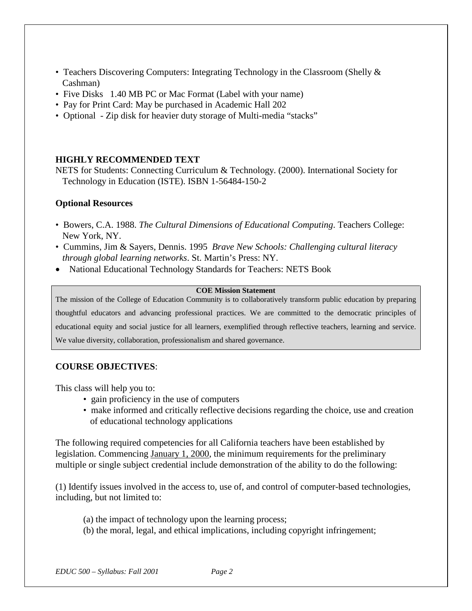- Teachers Discovering Computers: Integrating Technology in the Classroom (Shelly & Cashman)
- Five Disks 1.40 MB PC or Mac Format (Label with your name)
- Pay for Print Card: May be purchased in Academic Hall 202
- Optional Zip disk for heavier duty storage of Multi-media "stacks"

## **HIGHLY RECOMMENDED TEXT**

NETS for Students: Connecting Curriculum & Technology. (2000). International Society for Technology in Education (ISTE). ISBN 1-56484-150-2

### **Optional Resources**

- Bowers, C.A. 1988. *The Cultural Dimensions of Educational Computing*. Teachers College: New York, NY.
- Cummins, Jim & Sayers, Dennis. 1995 *Brave New Schools: Challenging cultural literacy through global learning networks*. St. Martin's Press: NY.
- National Educational Technology Standards for Teachers: NETS Book

#### **COE Mission Statement**

The mission of the College of Education Community is to collaboratively transform public education by preparing thoughtful educators and advancing professional practices. We are committed to the democratic principles of educational equity and social justice for all learners, exemplified through reflective teachers, learning and service. We value diversity, collaboration, professionalism and shared governance.

#### **COURSE OBJECTIVES**:

This class will help you to:

- gain proficiency in the use of computers
- make informed and critically reflective decisions regarding the choice, use and creation of educational technology applications

The following required competencies for all California teachers have been established by legislation. Commencing January 1, 2000, the minimum requirements for the preliminary multiple or single subject credential include demonstration of the ability to do the following:

(1) Identify issues involved in the access to, use of, and control of computer-based technologies, including, but not limited to:

- (a) the impact of technology upon the learning process;
- (b) the moral, legal, and ethical implications, including copyright infringement;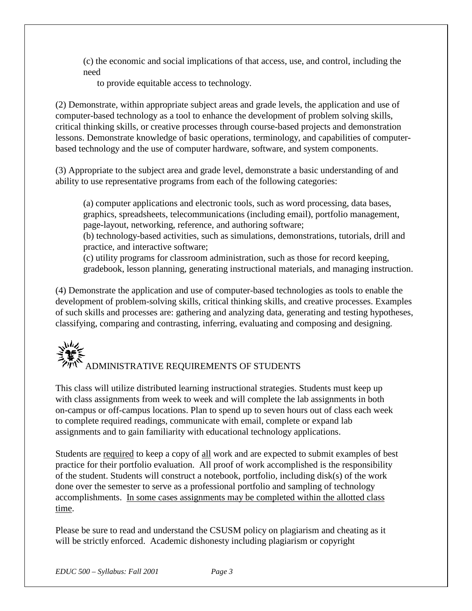(c) the economic and social implications of that access, use, and control, including the need

to provide equitable access to technology.

(2) Demonstrate, within appropriate subject areas and grade levels, the application and use of computer-based technology as a tool to enhance the development of problem solving skills, critical thinking skills, or creative processes through course-based projects and demonstration lessons. Demonstrate knowledge of basic operations, terminology, and capabilities of computerbased technology and the use of computer hardware, software, and system components.

(3) Appropriate to the subject area and grade level, demonstrate a basic understanding of and ability to use representative programs from each of the following categories:

(a) computer applications and electronic tools, such as word processing, data bases, graphics, spreadsheets, telecommunications (including email), portfolio management, page-layout, networking, reference, and authoring software;

(b) technology-based activities, such as simulations, demonstrations, tutorials, drill and practice, and interactive software;

(c) utility programs for classroom administration, such as those for record keeping, gradebook, lesson planning, generating instructional materials, and managing instruction.

(4) Demonstrate the application and use of computer-based technologies as tools to enable the development of problem-solving skills, critical thinking skills, and creative processes. Examples of such skills and processes are: gathering and analyzing data, generating and testing hypotheses, classifying, comparing and contrasting, inferring, evaluating and composing and designing.

# いん ADMINISTRATIVE REQUIREMENTS OF STUDENTS

This class will utilize distributed learning instructional strategies. Students must keep up with class assignments from week to week and will complete the lab assignments in both on-campus or off-campus locations. Plan to spend up to seven hours out of class each week to complete required readings, communicate with email, complete or expand lab assignments and to gain familiarity with educational technology applications.

Students are required to keep a copy of all work and are expected to submit examples of best practice for their portfolio evaluation. All proof of work accomplished is the responsibility of the student. Students will construct a notebook, portfolio, including disk(s) of the work done over the semester to serve as a professional portfolio and sampling of technology accomplishments. In some cases assignments may be completed within the allotted class time.

Please be sure to read and understand the CSUSM policy on plagiarism and cheating as it will be strictly enforced. Academic dishonesty including plagiarism or copyright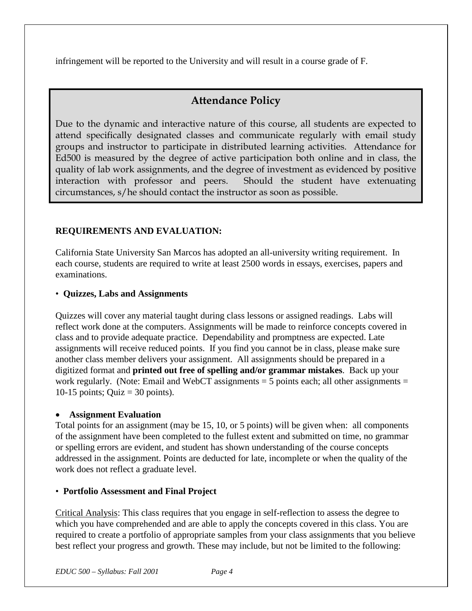infringement will be reported to the University and will result in a course grade of F.

# **Attendance Policy**

Due to the dynamic and interactive nature of this course, all students are expected to attend specifically designated classes and communicate regularly with email study groups and instructor to participate in distributed learning activities. Attendance for Ed500 is measured by the degree of active participation both online and in class, the quality of lab work assignments, and the degree of investment as evidenced by positive interaction with professor and peers. Should the student have extenuating circumstances, s/he should contact the instructor as soon as possible.

# **REQUIREMENTS AND EVALUATION:**

California State University San Marcos has adopted an all-university writing requirement. In each course, students are required to write at least 2500 words in essays, exercises, papers and examinations.

# • **Quizzes, Labs and Assignments**

Quizzes will cover any material taught during class lessons or assigned readings. Labs will reflect work done at the computers. Assignments will be made to reinforce concepts covered in class and to provide adequate practice. Dependability and promptness are expected. Late assignments will receive reduced points. If you find you cannot be in class, please make sure another class member delivers your assignment. All assignments should be prepared in a digitized format and **printed out free of spelling and/or grammar mistakes**. Back up your work regularly. (Note: Email and WebCT assignments  $=$  5 points each; all other assignments  $=$ 10-15 points; Quiz =  $30$  points).

## • **Assignment Evaluation**

Total points for an assignment (may be 15, 10, or 5 points) will be given when: all components of the assignment have been completed to the fullest extent and submitted on time, no grammar or spelling errors are evident, and student has shown understanding of the course concepts addressed in the assignment. Points are deducted for late, incomplete or when the quality of the work does not reflect a graduate level.

# • **Portfolio Assessment and Final Project**

Critical Analysis: This class requires that you engage in self-reflection to assess the degree to which you have comprehended and are able to apply the concepts covered in this class. You are required to create a portfolio of appropriate samples from your class assignments that you believe best reflect your progress and growth. These may include, but not be limited to the following: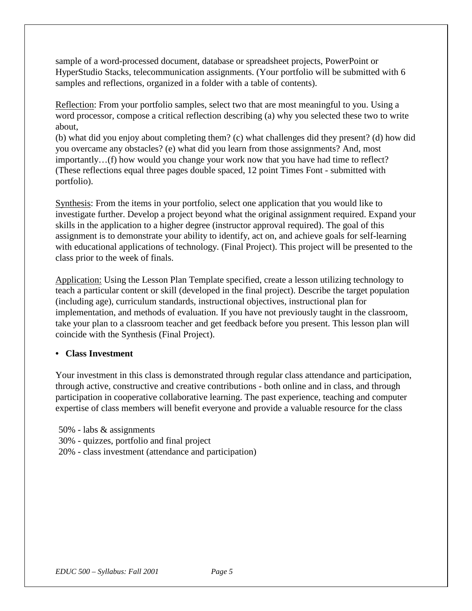sample of a word-processed document, database or spreadsheet projects, PowerPoint or HyperStudio Stacks, telecommunication assignments. (Your portfolio will be submitted with 6 samples and reflections, organized in a folder with a table of contents).

Reflection: From your portfolio samples, select two that are most meaningful to you. Using a word processor, compose a critical reflection describing (a) why you selected these two to write about,

(b) what did you enjoy about completing them? (c) what challenges did they present? (d) how did you overcame any obstacles? (e) what did you learn from those assignments? And, most importantly…(f) how would you change your work now that you have had time to reflect? (These reflections equal three pages double spaced, 12 point Times Font - submitted with portfolio).

Synthesis: From the items in your portfolio, select one application that you would like to investigate further. Develop a project beyond what the original assignment required. Expand your skills in the application to a higher degree (instructor approval required). The goal of this assignment is to demonstrate your ability to identify, act on, and achieve goals for self-learning with educational applications of technology. (Final Project). This project will be presented to the class prior to the week of finals.

Application: Using the Lesson Plan Template specified, create a lesson utilizing technology to teach a particular content or skill (developed in the final project). Describe the target population (including age), curriculum standards, instructional objectives, instructional plan for implementation, and methods of evaluation. If you have not previously taught in the classroom, take your plan to a classroom teacher and get feedback before you present. This lesson plan will coincide with the Synthesis (Final Project).

## **• Class Investment**

Your investment in this class is demonstrated through regular class attendance and participation, through active, constructive and creative contributions - both online and in class, and through participation in cooperative collaborative learning. The past experience, teaching and computer expertise of class members will benefit everyone and provide a valuable resource for the class

50% - labs & assignments

- 30% quizzes, portfolio and final project
- 20% class investment (attendance and participation)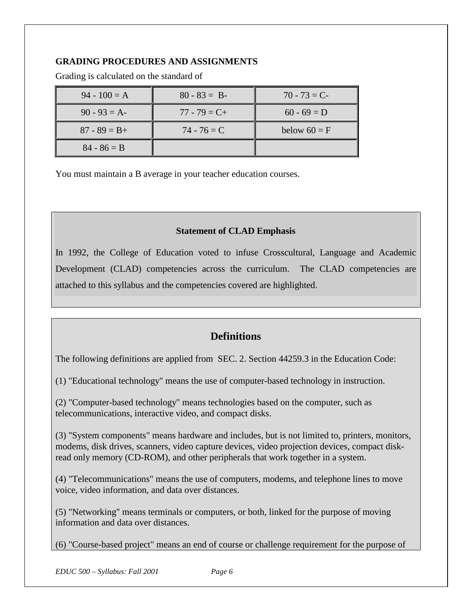## **GRADING PROCEDURES AND ASSIGNMENTS**

| $94 - 100 = A$  | $80 - 83 = B$   | $70 - 73 = C$  |
|-----------------|-----------------|----------------|
| $90 - 93 = A$   | $77 - 79 = C +$ | $60 - 69 = D$  |
| $87 - 89 = B +$ | $74 - 76 = C$   | below $60 = F$ |
| $84 - 86 = B$   |                 |                |

Grading is calculated on the standard of

You must maintain a B average in your teacher education courses.

### **Statement of CLAD Emphasis**

In 1992, the College of Education voted to infuse Crosscultural, Language and Academic Development (CLAD) competencies across the curriculum. The CLAD competencies are attached to this syllabus and the competencies covered are highlighted.

# **Definitions**

The following definitions are applied from SEC. 2. Section 44259.3 in the Education Code:

(1) "Educational technology" means the use of computer-based technology in instruction.

(2) "Computer-based technology" means technologies based on the computer, such as telecommunications, interactive video, and compact disks.

(3) "System components" means hardware and includes, but is not limited to, printers, monitors, modems, disk drives, scanners, video capture devices, video projection devices, compact diskread only memory (CD-ROM), and other peripherals that work together in a system.

(4) "Telecommunications" means the use of computers, modems, and telephone lines to move voice, video information, and data over distances.

(5) "Networking" means terminals or computers, or both, linked for the purpose of moving information and data over distances.

(6) "Course-based project" means an end of course or challenge requirement for the purpose of